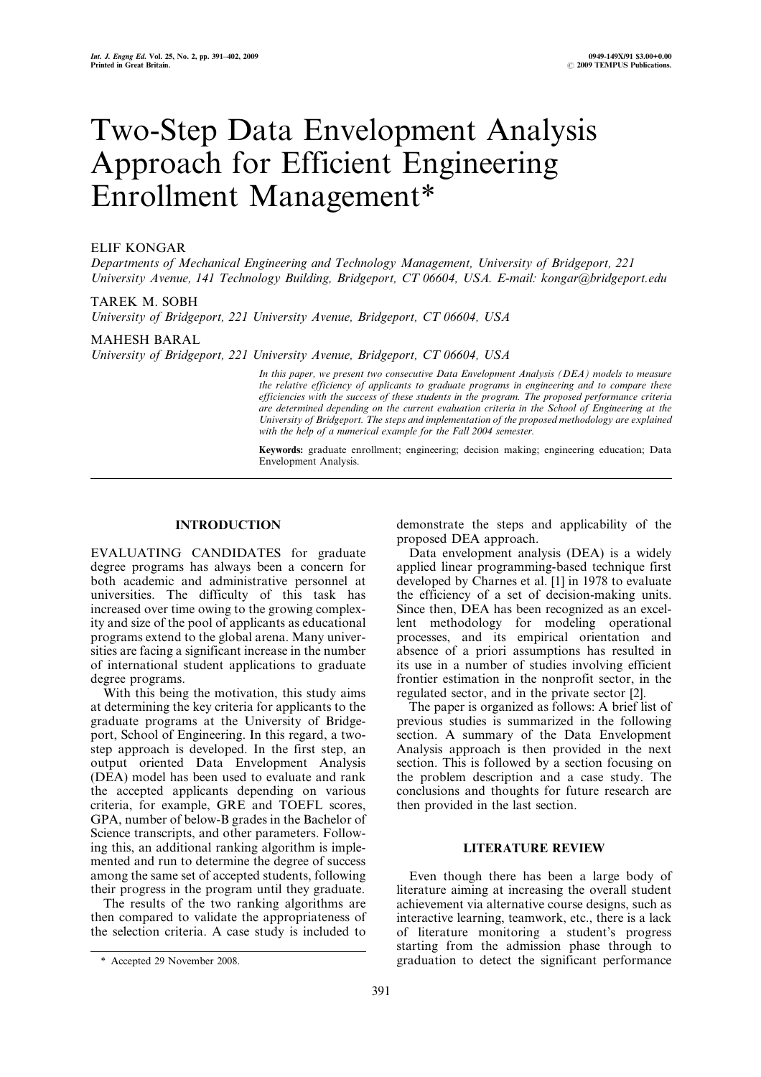# Two-Step Data Envelopment Analysis Approach for Efficient Engineering Enrollment Management\*

# ELIF KONGAR

Departments of Mechanical Engineering and Technology Management, University of Bridgeport, 221 University Avenue, 141 Technology Building, Bridgeport, CT 06604, USA. E-mail: kongar@bridgeport.edu

## TAREK M. SOBH

University of Bridgeport, 221 University Avenue, Bridgeport, CT 06604, USA

#### MAHESH BARAL

University of Bridgeport, 221 University Avenue, Bridgeport, CT 06604, USA

In this paper, we present two consecutive Data Envelopment Analysis (DEA) models to measure the relative efficiency of applicants to graduate programs in engineering and to compare these efficiencies with the success of these students in the program. The proposed performance criteria are determined depending on the current evaluation criteria in the School of Engineering at the University of Bridgeport. The steps and implementation of the proposed methodology are explained with the help of a numerical example for the Fall 2004 semester.

Keywords: graduate enrollment; engineering; decision making; engineering education; Data Envelopment Analysis.

## INTRODUCTION

EVALUATING CANDIDATES for graduate degree programs has always been a concern for both academic and administrative personnel at universities. The difficulty of this task has increased over time owing to the growing complexity and size of the pool of applicants as educational programs extend to the global arena. Many universities are facing a significant increase in the number of international student applications to graduate degree programs.

With this being the motivation, this study aims at determining the key criteria for applicants to the graduate programs at the University of Bridgeport, School of Engineering. In this regard, a twostep approach is developed. In the first step, an output oriented Data Envelopment Analysis (DEA) model has been used to evaluate and rank the accepted applicants depending on various criteria, for example, GRE and TOEFL scores, GPA, number of below-B grades in the Bachelor of Science transcripts, and other parameters. Following this, an additional ranking algorithm is implemented and run to determine the degree of success among the same set of accepted students, following their progress in the program until they graduate.

The results of the two ranking algorithms are then compared to validate the appropriateness of the selection criteria. A case study is included to

391

demonstrate the steps and applicability of the proposed DEA approach.

Data envelopment analysis (DEA) is a widely applied linear programming-based technique first developed by Charnes et al. [1] in 1978 to evaluate the efficiency of a set of decision-making units. Since then, DEA has been recognized as an excellent methodology for modeling operational processes, and its empirical orientation and absence of a priori assumptions has resulted in its use in a number of studies involving efficient frontier estimation in the nonprofit sector, in the regulated sector, and in the private sector [2].

The paper is organized as follows: A brief list of previous studies is summarized in the following section. A summary of the Data Envelopment Analysis approach is then provided in the next section. This is followed by a section focusing on the problem description and a case study. The conclusions and thoughts for future research are then provided in the last section.

# LITERATURE REVIEW

Even though there has been a large body of literature aiming at increasing the overall student achievement via alternative course designs, such as interactive learning, teamwork, etc., there is a lack of literature monitoring a student's progress starting from the admission phase through to \* Accepted 29 November 2008. graduation to detect the significant performance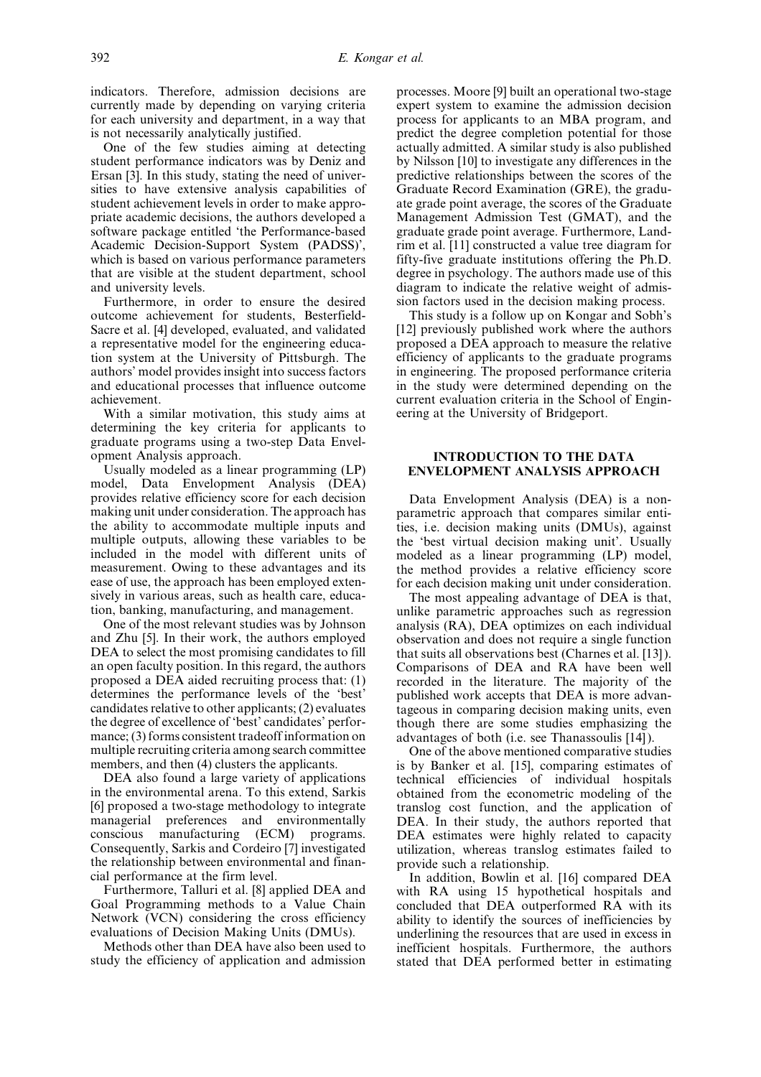indicators. Therefore, admission decisions are currently made by depending on varying criteria for each university and department, in a way that is not necessarily analytically justified.

One of the few studies aiming at detecting student performance indicators was by Deniz and Ersan [3]. In this study, stating the need of universities to have extensive analysis capabilities of student achievement levels in order to make appropriate academic decisions, the authors developed a software package entitled `the Performance-based Academic Decision-Support System (PADSS)', which is based on various performance parameters that are visible at the student department, school and university levels.

Furthermore, in order to ensure the desired outcome achievement for students, Besterfield-Sacre et al. [4] developed, evaluated, and validated a representative model for the engineering education system at the University of Pittsburgh. The authors' model provides insight into success factors and educational processes that influence outcome achievement.

With a similar motivation, this study aims at determining the key criteria for applicants to graduate programs using a two-step Data Envelopment Analysis approach.

Usually modeled as a linear programming (LP) model, Data Envelopment Analysis (DEA) provides relative efficiency score for each decision making unit under consideration. The approach has the ability to accommodate multiple inputs and multiple outputs, allowing these variables to be included in the model with different units of measurement. Owing to these advantages and its ease of use, the approach has been employed extensively in various areas, such as health care, education, banking, manufacturing, and management.

One of the most relevant studies was by Johnson and Zhu [5]. In their work, the authors employed DEA to select the most promising candidates to fill an open faculty position. In this regard, the authors proposed a DEA aided recruiting process that: (1) determines the performance levels of the `best' candidates relative to other applicants;  $(2)$  evaluates the degree of excellence of 'best' candidates' performance; (3) forms consistent tradeoff information on multiple recruiting criteria among search committee members, and then (4) clusters the applicants.

DEA also found a large variety of applications in the environmental arena. To this extend, Sarkis [6] proposed a two-stage methodology to integrate managerial preferences and environmentally conscious manufacturing (ECM) programs. Consequently, Sarkis and Cordeiro [7] investigated the relationship between environmental and financial performance at the firm level.

Furthermore, Talluri et al. [8] applied DEA and Goal Programming methods to a Value Chain Network (VCN) considering the cross efficiency evaluations of Decision Making Units (DMUs).

Methods other than DEA have also been used to study the efficiency of application and admission processes. Moore [9] built an operational two-stage expert system to examine the admission decision process for applicants to an MBA program, and predict the degree completion potential for those actually admitted. A similar study is also published by Nilsson [10] to investigate any differences in the predictive relationships between the scores of the Graduate Record Examination (GRE), the graduate grade point average, the scores of the Graduate Management Admission Test (GMAT), and the graduate grade point average. Furthermore, Landrim et al. [11] constructed a value tree diagram for fifty-five graduate institutions offering the Ph.D. degree in psychology. The authors made use of this diagram to indicate the relative weight of admission factors used in the decision making process.

This study is a follow up on Kongar and Sobh's [12] previously published work where the authors proposed a DEA approach to measure the relative efficiency of applicants to the graduate programs in engineering. The proposed performance criteria in the study were determined depending on the current evaluation criteria in the School of Engineering at the University of Bridgeport.

## INTRODUCTION TO THE DATA ENVELOPMENT ANALYSIS APPROACH

Data Envelopment Analysis (DEA) is a nonparametric approach that compares similar entities, i.e. decision making units (DMUs), against the `best virtual decision making unit'. Usually modeled as a linear programming (LP) model, the method provides a relative efficiency score for each decision making unit under consideration.

The most appealing advantage of DEA is that, unlike parametric approaches such as regression analysis (RA), DEA optimizes on each individual observation and does not require a single function that suits all observations best (Charnes et al. [13]). Comparisons of DEA and RA have been well recorded in the literature. The majority of the published work accepts that DEA is more advantageous in comparing decision making units, even though there are some studies emphasizing the advantages of both (i.e. see Thanassoulis [14]).

One of the above mentioned comparative studies is by Banker et al. [15], comparing estimates of technical efficiencies of individual hospitals obtained from the econometric modeling of the translog cost function, and the application of DEA. In their study, the authors reported that DEA estimates were highly related to capacity utilization, whereas translog estimates failed to provide such a relationship.

In addition, Bowlin et al. [16] compared DEA with RA using 15 hypothetical hospitals and concluded that DEA outperformed RA with its ability to identify the sources of inefficiencies by underlining the resources that are used in excess in inefficient hospitals. Furthermore, the authors stated that DEA performed better in estimating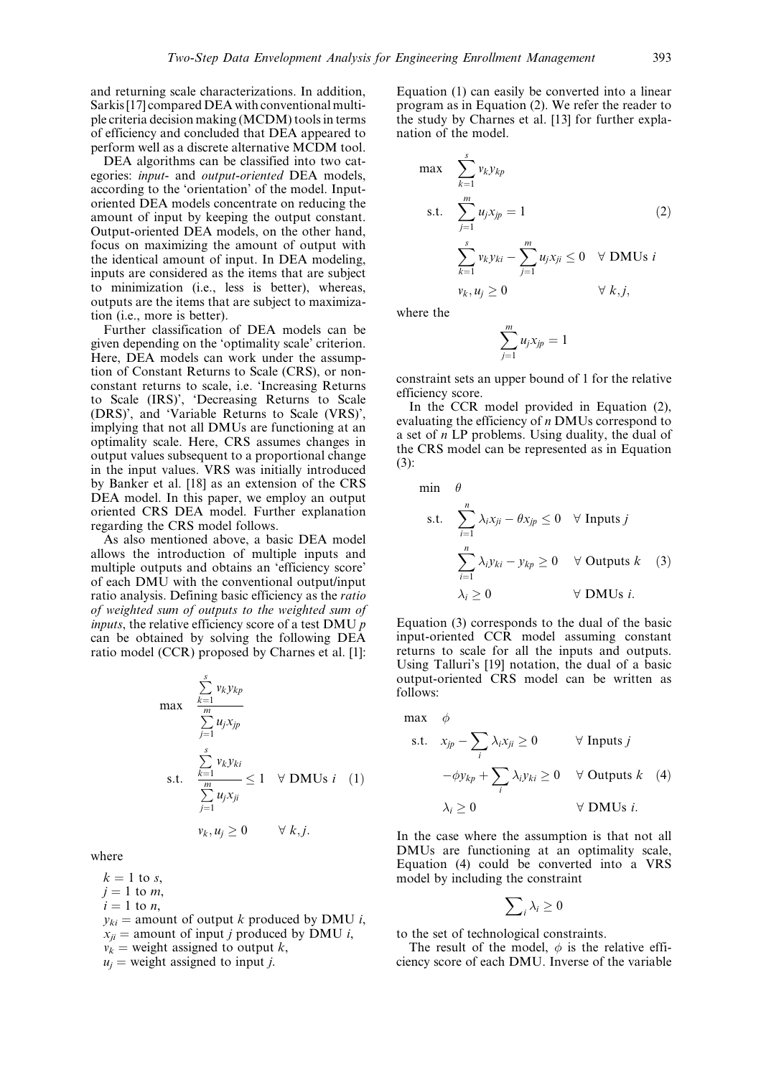and returning scale characterizations. In addition, Sarkis[17] compared DEA with conventional multiple criteria decision making (MCDM) toolsin terms of efficiency and concluded that DEA appeared to perform well as a discrete alternative MCDM tool.

DEA algorithms can be classified into two categories: input- and output-oriented DEA models, according to the `orientation' of the model. Inputoriented DEA models concentrate on reducing the amount of input by keeping the output constant. Output-oriented DEA models, on the other hand, focus on maximizing the amount of output with the identical amount of input. In DEA modeling, inputs are considered as the items that are subject to minimization (i.e., less is better), whereas, outputs are the items that are subject to maximization (i.e., more is better).

Further classification of DEA models can be given depending on the `optimality scale' criterion. Here, DEA models can work under the assumption of Constant Returns to Scale (CRS), or nonconstant returns to scale, i.e. `Increasing Returns to Scale (IRS)', `Decreasing Returns to Scale (DRS)', and `Variable Returns to Scale (VRS)', implying that not all DMUs are functioning at an optimality scale. Here, CRS assumes changes in output values subsequent to a proportional change in the input values. VRS was initially introduced by Banker et al. [18] as an extension of the CRS DEA model. In this paper, we employ an output oriented CRS DEA model. Further explanation regarding the CRS model follows.

As also mentioned above, a basic DEA model allows the introduction of multiple inputs and multiple outputs and obtains an `efficiency score' of each DMU with the conventional output/input ratio analysis. Defining basic efficiency as the ratio of weighted sum of outputs to the weighted sum of *inputs*, the relative efficiency score of a test DMU  $p$ can be obtained by solving the following DEA ratio model (CCR) proposed by Charnes et al. [1]:

$$
\max \frac{\sum\limits_{k=1}^{s} v_k y_{kp}}{\sum\limits_{j=1}^{m} u_j x_{jp}}\n\quad \text{s.t. } \frac{\sum\limits_{k=1}^{s} v_k y_{ki}}{\sum\limits_{j=1}^{m} u_j x_{ji}} \le 1 \quad \forall \text{ DMUs } i \quad (1)
$$
\n
$$
v_k, u_j \ge 0 \qquad \forall \ k, j.
$$

where

 $k = 1$  to s,

 $j = 1$  to m,  $i = 1$  to *n*,  $y_{ki}$  = amount of output k produced by DMU i,  $x_{ji}$  = amount of input *j* produced by DMU *i*,  $v_k$  = weight assigned to output k,  $u_i$  = weight assigned to input *i*.

Equation (1) can easily be converted into a linear program as in Equation (2). We refer the reader to the study by Charnes et al. [13] for further explanation of the model.

$$
\max \sum_{k=1}^{s} v_k y_{kp}
$$
\n
$$
\text{s.t.} \quad \sum_{j=1}^{m} u_j x_{jp} = 1 \tag{2}
$$
\n
$$
\sum_{k=1}^{s} v_k y_{ki} - \sum_{j=1}^{m} u_j x_{ji} \le 0 \quad \forall \text{ DMUs } i
$$
\n
$$
v_k, u_j \ge 0 \qquad \forall k, j,
$$

where the

$$
\sum_{j=1}^m u_j x_{jp} = 1
$$

constraint sets an upper bound of 1 for the relative efficiency score.

In the CCR model provided in Equation (2), evaluating the efficiency of n DMUs correspond to a set of  $n$  LP problems. Using duality, the dual of the CRS model can be represented as in Equation (3):

min  $\theta$ 

s.t. 
$$
\sum_{i=1}^{n} \lambda_i x_{ji} - \theta x_{jp} \le 0 \quad \forall \text{ Inputs } j
$$

$$
\sum_{i=1}^{n} \lambda_i y_{ki} - y_{kp} \ge 0 \quad \forall \text{ Outputs } k \quad (3)
$$

$$
\lambda_i \ge 0 \qquad \forall \text{ DMUs } i.
$$

Equation (3) corresponds to the dual of the basic input-oriented CCR model assuming constant returns to scale for all the inputs and outputs. Using Talluri's [19] notation, the dual of a basic output-oriented CRS model can be written as follows:

max  $\phi$ 

s.t. 
$$
x_{jp} - \sum_i \lambda_i x_{ji} \ge 0
$$
  $\forall$  Inputs  $j$   
\n $-\phi y_{kp} + \sum_i \lambda_i y_{ki} \ge 0$   $\forall$  Outputs  $k$  (4)  
\n $\lambda_i \ge 0$   $\forall$  DMUs  $i$ .

In the case where the assumption is that not all DMUs are functioning at an optimality scale, Equation (4) could be converted into a VRS model by including the constraint

$$
\sum\nolimits_i \lambda_i \geq 0
$$

to the set of technological constraints.

The result of the model,  $\phi$  is the relative efficiency score of each DMU. Inverse of the variable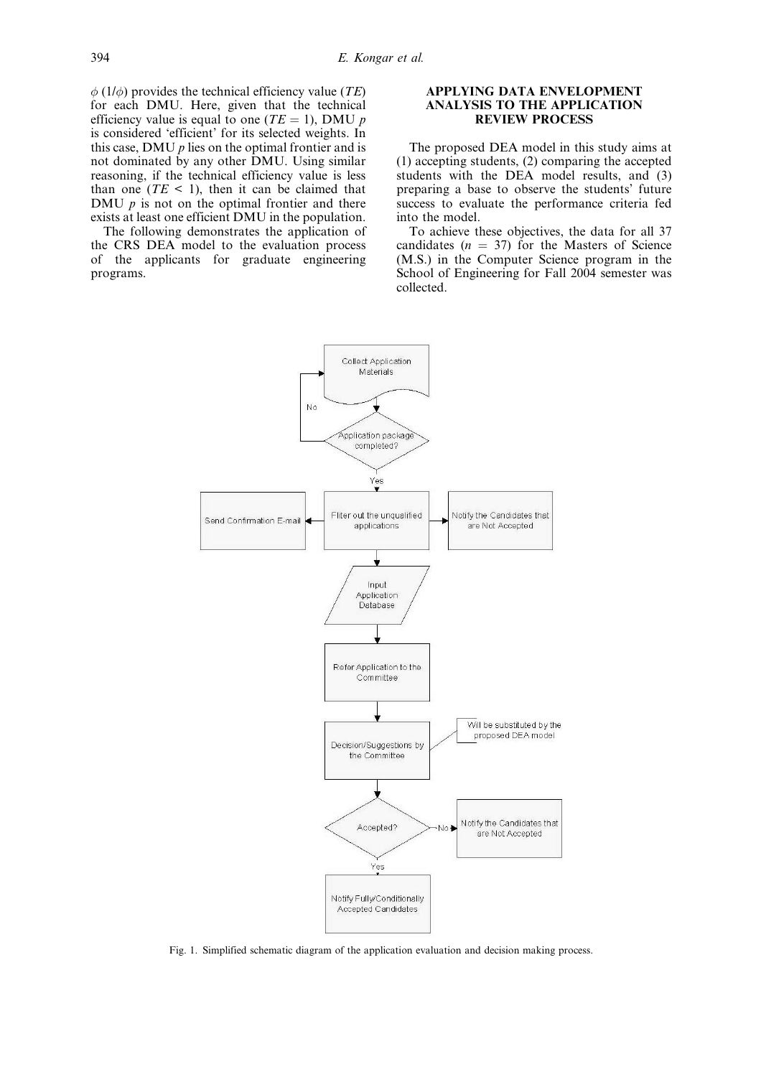$\phi$  (1/ $\phi$ ) provides the technical efficiency value (TE) for each DMU. Here, given that the technical efficiency value is equal to one ( $TE = 1$ ), DMU p is considered `efficient' for its selected weights. In this case, DMU  $p$  lies on the optimal frontier and is not dominated by any other DMU. Using similar reasoning, if the technical efficiency value is less than one  $(TE < 1)$ , then it can be claimed that DMU  $p$  is not on the optimal frontier and there exists at least one efficient DMU in the population.

The following demonstrates the application of the CRS DEA model to the evaluation process of the applicants for graduate engineering programs.

## APPLYING DATA ENVELOPMENT ANALYSIS TO THE APPLICATION REVIEW PROCESS

The proposed DEA model in this study aims at (1) accepting students, (2) comparing the accepted students with the DEA model results, and (3) preparing a base to observe the students' future success to evaluate the performance criteria fed into the model.

To achieve these objectives, the data for all 37 candidates  $(n = 37)$  for the Masters of Science (M.S.) in the Computer Science program in the School of Engineering for Fall 2004 semester was collected.



Fig. 1. Simplified schematic diagram of the application evaluation and decision making process.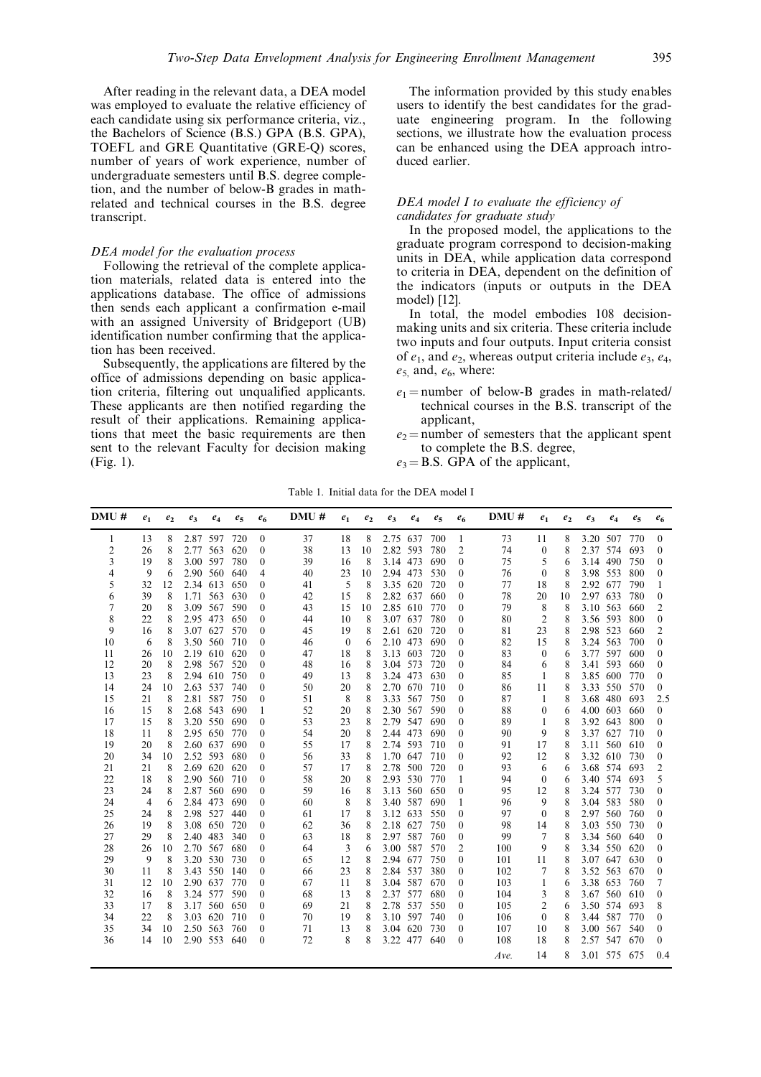After reading in the relevant data, a DEA model was employed to evaluate the relative efficiency of each candidate using six performance criteria, viz., the Bachelors of Science (B.S.) GPA (B.S. GPA), TOEFL and GRE Quantitative (GRE-Q) scores, number of years of work experience, number of undergraduate semesters until B.S. degree completion, and the number of below-B grades in mathrelated and technical courses in the B.S. degree transcript.

## DEA model for the evaluation process

Following the retrieval of the complete application materials, related data is entered into the applications database. The office of admissions then sends each applicant a confirmation e-mail with an assigned University of Bridgeport (UB) identification number confirming that the application has been received.

Subsequently, the applications are filtered by the office of admissions depending on basic application criteria, filtering out unqualified applicants. These applicants are then notified regarding the result of their applications. Remaining applications that meet the basic requirements are then sent to the relevant Faculty for decision making (Fig. 1).

The information provided by this study enables users to identify the best candidates for the graduate engineering program. In the following sections, we illustrate how the evaluation process can be enhanced using the DEA approach introduced earlier.

# DEA model I to evaluate the efficiency of candidates for graduate study

In the proposed model, the applications to the graduate program correspond to decision-making units in DEA, while application data correspond to criteria in DEA, dependent on the definition of the indicators (inputs or outputs in the DEA model) [12].

In total, the model embodies 108 decisionmaking units and six criteria. These criteria include two inputs and four outputs. Input criteria consist of  $e_1$ , and  $e_2$ , whereas output criteria include  $e_3$ ,  $e_4$ ,  $e_5$  and,  $e_6$ , where:

- $e_1$  = number of below-B grades in math-related/ technical courses in the B.S. transcript of the applicant,
- $e_2$  = number of semesters that the applicant spent to complete the B.S. degree,
- $e_3 = B.S.$  GPA of the applicant,

Table 1. Initial data for the DEA model I

| DMU# | e <sub>1</sub> | e <sub>2</sub> | $e_3$    | $e_4$ | $e_5$ | $e_6$            | DMU# | e <sub>1</sub> | e <sub>2</sub> | $e_3$    | $e_4$ | $e_5$ | e <sub>6</sub>   | DMU# | $e_1$          | e <sub>2</sub> | $e_3$    | $e_4$        | $e_5$ | $e_6$            |
|------|----------------|----------------|----------|-------|-------|------------------|------|----------------|----------------|----------|-------|-------|------------------|------|----------------|----------------|----------|--------------|-------|------------------|
| 1    | 13             | 8              | 2.87 597 |       | 720   | $\theta$         | 37   | 18             | 8              | 2.75 637 |       | 700   | 1                | 73   | 11             | 8              |          | 3.20 507     | 770   | $\theta$         |
| 2    | 26             | 8              | 2.77 563 |       | 620   | $\theta$         | 38   | 13             | 10             | 2.82 593 |       | 780   | 2                | 74   | $\mathbf{0}$   | 8              | 2.37 574 |              | 693   | 0                |
| 3    | 19             | 8              | 3.00 597 |       | 780   | $\theta$         | 39   | 16             | 8              | 3.14 473 |       | 690   | $\theta$         | 75   | 5              | 6              | 3.14 490 |              | 750   | 0                |
| 4    | 9              | 6              | 2.90 560 |       | 640   | 4                | 40   | 23             | 10             | 2.94 473 |       | 530   | $\theta$         | 76   | $\bf{0}$       | 8              | 3.98 553 |              | 800   | 0                |
| 5    | 32             | 12             | 2.34 613 |       | 650   | $\theta$         | 41   | 5              | 8              | 3.35 620 |       | 720   | $\theta$         | 77   | 18             | 8              | 2.92 677 |              | 790   |                  |
| 6    | 39             | 8              | 1.71     | 563   | 630   | $\mathbf{0}$     | 42   | 15             | 8              | 2.82 637 |       | 660   | $\theta$         | 78   | 20             | 10             | 2.97 633 |              | 780   | $\mathbf{0}$     |
| 7    | 20             | 8              | 3.09     | 567   | 590   | $\mathbf{0}$     | 43   | 15             | 10             | 2.85 610 |       | 770   | $\mathbf{0}$     | 79   | 8              | 8              | 3.10 563 |              | 660   | 2                |
| 8    | 22             | 8              | 2.95 473 |       | 650   | $\mathbf{0}$     | 44   | 10             | 8              | 3.07 637 |       | 780   | $\theta$         | 80   | $\overline{2}$ | 8              | 3.56 593 |              | 800   | $\boldsymbol{0}$ |
| 9    | 16             | 8              | 3.07 627 |       | 570   | $\mathbf{0}$     | 45   | 19             | 8              | 2.61 620 |       | 720   | $\boldsymbol{0}$ | 81   | 23             | 8              | 2.98 523 |              | 660   | 2                |
| 10   | 6              | 8              | 3.50 560 |       | 710   | $\theta$         | 46   | $\mathbf{0}$   | 6              | 2.10 473 |       | 690   | $\theta$         | 82   | 15             | 8              | 3.24 563 |              | 700   | $\theta$         |
| 11   | 26             | 10             | 2.19 610 |       | 620   | $\theta$         | 47   | 18             | 8              | 3.13 603 |       | 720   | $\theta$         | 83   | $\theta$       | 6              | 3.77 597 |              | 600   | $\theta$         |
| 12   | 20             | 8              | 2.98     | 567   | 520   | $\theta$         | 48   | 16             | 8              | 3.04 573 |       | 720   | $\theta$         | 84   | 6              | 8              | 3.41 593 |              | 660   | 0                |
| 13   | 23             | 8              | 2.94 610 |       | 750   | $\boldsymbol{0}$ | 49   | 13             | 8              | 3.24 473 |       | 630   | $\theta$         | 85   | 1              | 8              | 3.85 600 |              | 770   | $\theta$         |
| 14   | 24             | 10             | 2.63 537 |       | 740   | $\boldsymbol{0}$ | 50   | 20             | 8              | 2.70 670 |       | 710   | $\theta$         | 86   | 11             | 8              |          | 3.33 550     | 570   | $\boldsymbol{0}$ |
| 15   | 21             | 8              | 2.81     | 587   | 750   | $\mathbf{0}$     | 51   | 8              | 8              | 3.33 567 |       | 750   | $\theta$         | 87   | 1              | 8              | 3.68 480 |              | 693   | 2.5              |
| 16   | 15             | 8              | 2.68 543 |       | 690   | 1                | 52   | 20             | 8              | 2.30 567 |       | 590   | $\theta$         | 88   | $\bf{0}$       | 6              | 4.00 603 |              | 660   | $\mathbf{0}$     |
| 17   | 15             | 8              | 3.20 550 |       | 690   | $\mathbf{0}$     | 53   | 23             | 8              | 2.79 547 |       | 690   | $\theta$         | 89   | -1             | 8              | 3.92 643 |              | 800   | $\theta$         |
| 18   | 11             | 8              | 2.95 650 |       | 770   | $\theta$         | 54   | 20             | 8              | 2.44 473 |       | 690   | $\theta$         | 90   | 9              | 8              | 3.37 627 |              | 710   | $\theta$         |
| 19   | 20             | 8              | 2.60 637 |       | 690   | $\theta$         | 55   | 17             | 8              | 2.74 593 |       | 710   | $\theta$         | 91   | 17             | 8              |          | 3.11 560     | 610   | 0                |
| 20   | 34             | 10             | 2.52 593 |       | 680   | $\theta$         | 56   | 33             | 8              | 1.70 647 |       | 710   | $\theta$         | 92   | 12             | 8              | 3.32 610 |              | 730   | $\theta$         |
| 21   | 21             | 8              | 2.69 620 |       | 620   | $\boldsymbol{0}$ | 57   | 17             | 8              | 2.78 500 |       | 720   | $\mathbf{0}$     | 93   | 6              | 6              |          | 3.68 574     | 693   | 2                |
| 22   | 18             | 8              | 2.90 560 |       | 710   | $\boldsymbol{0}$ | 58   | 20             | 8              | 2.93 530 |       | 770   | 1                | 94   | $\mathbf{0}$   | 6              |          | 3.40 574     | 693   | 5                |
| 23   | 24             | 8              | 2.87     | 560   | 690   | $\boldsymbol{0}$ | 59   | 16             | 8              | 3.13 560 |       | 650   | $\mathbf{0}$     | 95   | 12             | 8              | 3.24 577 |              | 730   | $\Omega$         |
| 24   | $\overline{4}$ | 6              | 2.84 473 |       | 690   | $\boldsymbol{0}$ | 60   | 8              | 8              | 3.40 587 |       | 690   | 1                | 96   | 9              | 8              | 3.04 583 |              | 580   | $\theta$         |
| 25   | 24             | 8              | 2.98 527 |       | 440   | $\boldsymbol{0}$ | 61   | 17             | 8              | 3.12 633 |       | 550   | $\mathbf{0}$     | 97   | $\mathbf{0}$   | 8              | 2.97 560 |              | 760   | $\theta$         |
| 26   | 19             | 8              | 3.08 650 |       | 720   | $\boldsymbol{0}$ | 62   | 36             | 8              | 2.18 627 |       | 750   | $\mathbf{0}$     | 98   | 14             | 8              | 3.03 550 |              | 730   | $\theta$         |
| 27   | 29             | 8              | 2.40 483 |       | 340   | $\boldsymbol{0}$ | 63   | 18             | 8              | 2.97 587 |       | 760   | $\mathbf{0}$     | 99   | 7              | 8              | 3.34 560 |              | 640   | 0                |
| 28   | 26             | 10             | 2.70 567 |       | 680   | $\theta$         | 64   | 3              | 6              | 3.00 587 |       | 570   | $\overline{2}$   | 100  | 9              | 8              | 3.34 550 |              | 620   | $\theta$         |
| 29   | 9              | 8              | 3.20     | 530   | 730   | $\boldsymbol{0}$ | 65   | 12             | 8              | 2.94 677 |       | 750   | $\theta$         | 101  | 11             | 8              | 3.07 647 |              | 630   | $\theta$         |
| 30   | 11             | 8              | 3.43 550 |       | 140   | $\mathbf{0}$     | 66   | 23             | 8              | 2.84 537 |       | 380   | $\mathbf{0}$     | 102  | 7              | 8              | 3.52 563 |              | 670   | $\theta$         |
| 31   | 12             | 10             | 2.90 637 |       | 770   | $\Omega$         | 67   | 11             | 8              | 3.04     | 587   | 670   | $\theta$         | 103  | $\mathbf{1}$   | 6              | 3.38 653 |              | 760   | 7                |
| 32   | 16             | 8              | 3.24     | 577   | 590   | $\theta$         | 68   | 13             | 8              | 2.37 577 |       | 680   | $\theta$         | 104  | 3              | 8              | 3.67 560 |              | 610   | $\theta$         |
| 33   | 17             | 8              | 3.17 560 |       | 650   | $\theta$         | 69   | 21             | 8              | 2.78 537 |       | 550   | $\theta$         | 105  | $\overline{2}$ | 6              |          | 3.50 574     | 693   | 8                |
| 34   | 22             | 8              | 3.03 620 |       | 710   | $\boldsymbol{0}$ | 70   | 19             | 8              | 3.10 597 |       | 740   | $\bf{0}$         | 106  | $\mathbf{0}$   | 8              | 3.44 587 |              | 770   | $\theta$         |
| 35   | 34             | 10             | 2.50 563 |       | 760   | $\boldsymbol{0}$ | 71   | 13             | 8              | 3.04 620 |       | 730   | $\boldsymbol{0}$ | 107  | 10             | 8              | 3.00 567 |              | 540   | $\theta$         |
| 36   | 14             | 10             | 2.90 553 |       | 640   | $\mathbf{0}$     | 72   | 8              | 8              | 3.22 477 |       | 640   | $\theta$         | 108  | 18             | 8              | 2.57 547 |              | 670   | $\theta$         |
|      |                |                |          |       |       |                  |      |                |                |          |       |       |                  | Ave. | 14             | 8              |          | 3.01 575 675 |       | 0.4              |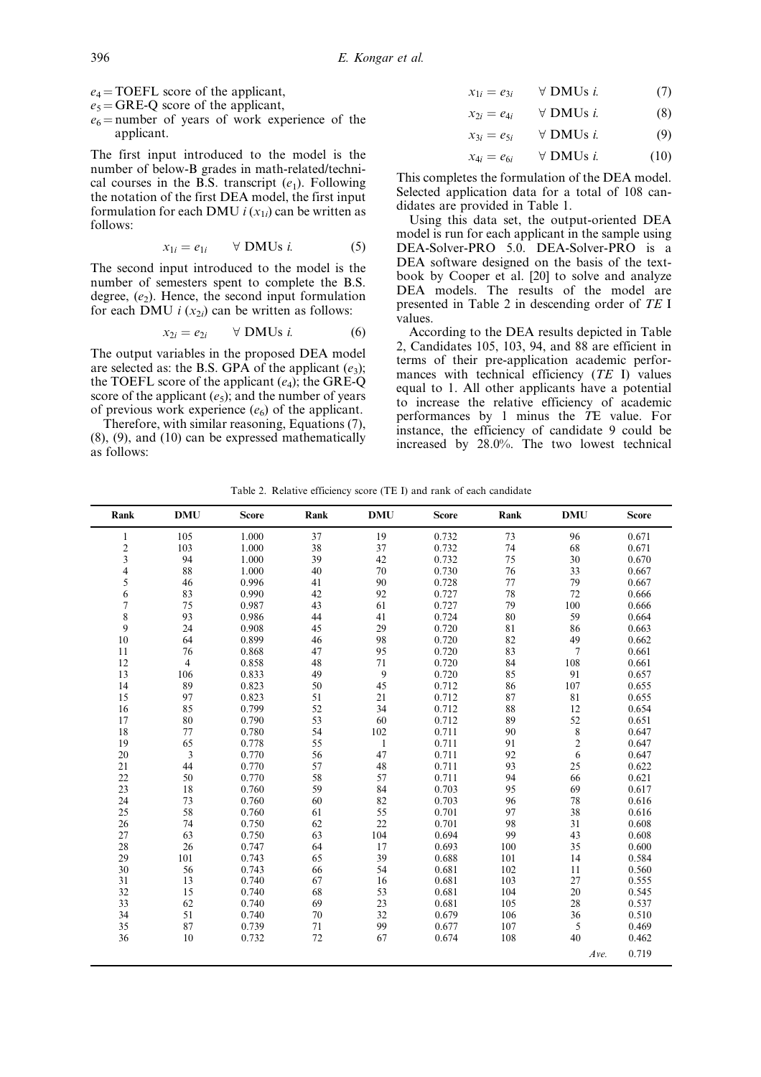$e_4$  = TOEFL score of the applicant,

 $e_5 = \text{GRE}-\text{Q}$  score of the applicant,

 $e_6$  = number of years of work experience of the applicant.

The first input introduced to the model is the number of below-B grades in math-related/technical courses in the B.S. transcript  $(e_1)$ . Following the notation of the first DEA model, the first input formulation for each DMU  $i(x_{1i})$  can be written as follows:

$$
x_{1i} = e_{1i} \qquad \forall \text{ DMUs } i. \tag{5}
$$

The second input introduced to the model is the number of semesters spent to complete the B.S. degree,  $(e_2)$ . Hence, the second input formulation for each DMU  $i(x_{2i})$  can be written as follows:

$$
x_{2i} = e_{2i} \qquad \forall \text{ DMUs } i. \tag{6}
$$

The output variables in the proposed DEA model are selected as: the B.S. GPA of the applicant  $(e_3)$ ; the TOEFL score of the applicant  $(e_4)$ ; the GRE-Q score of the applicant  $(e_5)$ ; and the number of years of previous work experience  $(e_6)$  of the applicant.

Therefore, with similar reasoning, Equations (7), (8), (9), and (10) can be expressed mathematically as follows:

$$
x_{1i} = e_{3i} \qquad \forall \text{ DMUs } i. \tag{7}
$$

$$
x_{2i} = e_{4i} \qquad \forall \text{ DMUs } i. \tag{8}
$$

$$
x_{3i} = e_{5i} \qquad \forall \text{ DMUs } i. \tag{9}
$$

$$
x_{4i} = e_{6i} \qquad \forall \text{ DMUs } i. \tag{10}
$$

This completes the formulation of the DEA model. Selected application data for a total of 108 candidates are provided in Table 1.

Using this data set, the output-oriented DEA model is run for each applicant in the sample using DEA-Solver-PRO 5.0. DEA-Solver-PRO is a DEA software designed on the basis of the textbook by Cooper et al. [20] to solve and analyze DEA models. The results of the model are presented in Table 2 in descending order of TE I values.

According to the DEA results depicted in Table 2, Candidates 105, 103, 94, and 88 are efficient in terms of their pre-application academic performances with technical efficiency  $(TE \ I)$  values equal to 1. All other applicants have a potential to increase the relative efficiency of academic performances by 1 minus the TE value. For instance, the efficiency of candidate 9 could be increased by 28.0%. The two lowest technical

Table 2. Relative efficiency score (TE I) and rank of each candidate

| Rank                     | <b>DMU</b>     | <b>Score</b> | Rank | <b>DMU</b>   | <b>Score</b> | Rank | <b>DMU</b>     | <b>Score</b> |
|--------------------------|----------------|--------------|------|--------------|--------------|------|----------------|--------------|
| $\mathbf{1}$             | 105            | 1.000        | 37   | 19           | 0.732        | 73   | 96             | 0.671        |
| $\overline{\mathbf{c}}$  | 103            | 1.000        | 38   | 37           | 0.732        | 74   | 68             | 0.671        |
| 3                        | 94             | 1.000        | 39   | 42           | 0.732        | 75   | 30             | 0.670        |
| $\overline{\mathcal{L}}$ | 88             | 1.000        | 40   | 70           | 0.730        | 76   | 33             | 0.667        |
| 5                        | 46             | 0.996        | 41   | 90           | 0.728        | 77   | 79             | 0.667        |
| 6                        | 83             | 0.990        | 42   | 92           | 0.727        | 78   | 72             | 0.666        |
| $\sqrt{ }$               | 75             | 0.987        | 43   | 61           | 0.727        | 79   | 100            | 0.666        |
| 8                        | 93             | 0.986        | 44   | 41           | 0.724        | 80   | 59             | 0.664        |
| 9                        | 24             | 0.908        | 45   | 29           | 0.720        | 81   | 86             | 0.663        |
| 10                       | 64             | 0.899        | 46   | 98           | 0.720        | 82   | 49             | 0.662        |
| 11                       | 76             | 0.868        | 47   | 95           | 0.720        | 83   | 7              | 0.661        |
| 12                       | $\overline{4}$ | 0.858        | 48   | 71           | 0.720        | 84   | 108            | 0.661        |
| 13                       | 106            | 0.833        | 49   | 9            | 0.720        | 85   | 91             | 0.657        |
| 14                       | 89             | 0.823        | 50   | 45           | 0.712        | 86   | 107            | 0.655        |
| 15                       | 97             | 0.823        | 51   | 21           | 0.712        | 87   | 81             | 0.655        |
| 16                       | 85             | 0.799        | 52   | 34           | 0.712        | 88   | 12             | 0.654        |
| 17                       | 80             | 0.790        | 53   | 60           | 0.712        | 89   | 52             | 0.651        |
| 18                       | 77             | 0.780        | 54   | 102          | 0.711        | 90   | 8              | 0.647        |
| 19                       | 65             | 0.778        | 55   | $\mathbf{1}$ | 0.711        | 91   | $\overline{c}$ | 0.647        |
| 20                       | 3              | 0.770        | 56   | 47           | 0.711        | 92   | 6              | 0.647        |
| 21                       | 44             | 0.770        | 57   | 48           | 0.711        | 93   | 25             | 0.622        |
| 22                       | 50             | 0.770        | 58   | 57           | 0.711        | 94   | 66             | 0.621        |
| 23                       | 18             | 0.760        | 59   | 84           | 0.703        | 95   | 69             | 0.617        |
| 24                       | 73             | 0.760        | 60   | 82           | 0.703        | 96   | 78             | 0.616        |
| 25                       | 58             | 0.760        | 61   | 55           | 0.701        | 97   | 38             | 0.616        |
| 26                       | 74             | 0.750        | 62   | 22           | 0.701        | 98   | 31             | 0.608        |
| 27                       | 63             | 0.750        | 63   | 104          | 0.694        | 99   | 43             | 0.608        |
| 28                       | 26             | 0.747        | 64   | 17           | 0.693        | 100  | 35             | 0.600        |
| 29                       | 101            | 0.743        | 65   | 39           | 0.688        | 101  | 14             | 0.584        |
| 30                       | 56             | 0.743        | 66   | 54           | 0.681        | 102  | 11             | 0.560        |
| 31                       | 13             | 0.740        | 67   | 16           | 0.681        | 103  | 27             | 0.555        |
| 32                       | 15             | 0.740        | 68   | 53           | 0.681        | 104  | 20             | 0.545        |
| 33                       | 62             | 0.740        | 69   | 23           | 0.681        | 105  | 28             | 0.537        |
| 34                       | 51             | 0.740        | 70   | 32           | 0.679        | 106  | 36             | 0.510        |
| 35                       | 87             | 0.739        | 71   | 99           | 0.677        | 107  | 5              | 0.469        |
| 36                       | 10             | 0.732        | 72   | 67           | 0.674        | 108  | 40             | 0.462        |
|                          |                |              |      |              |              |      | Ave.           | 0.719        |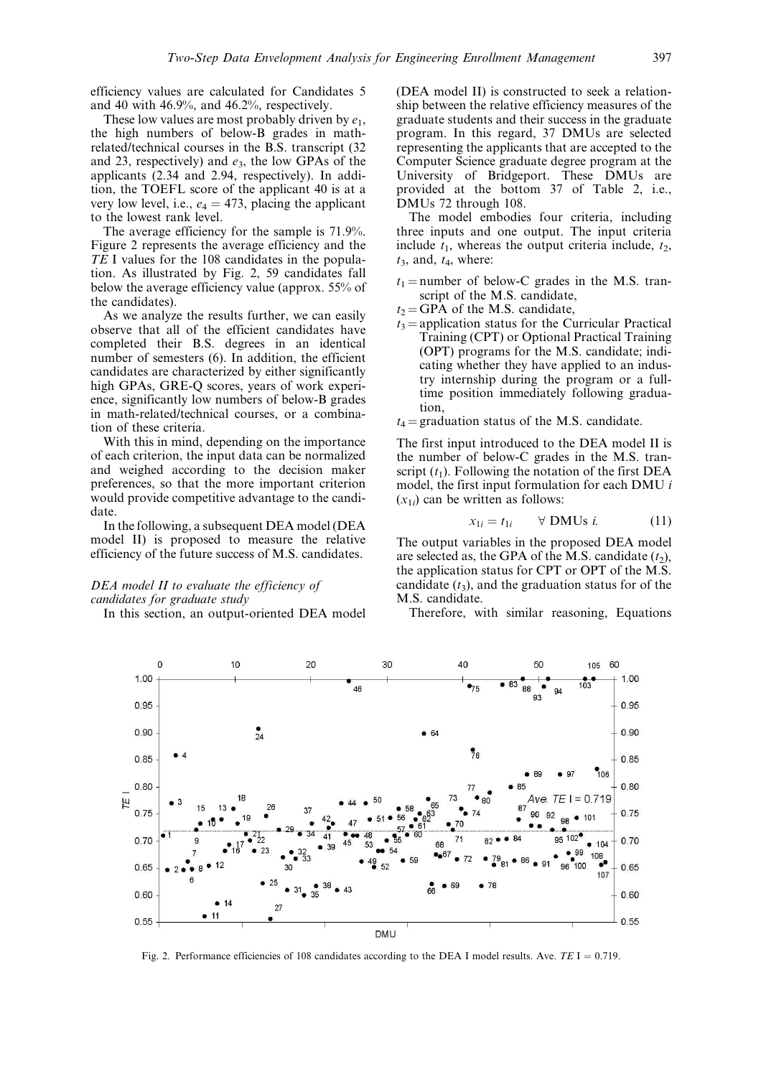efficiency values are calculated for Candidates 5 and 40 with 46.9%, and 46.2%, respectively.

These low values are most probably driven by  $e_1$ , the high numbers of below-B grades in mathrelated/technical courses in the B.S. transcript (32 and 23, respectively) and  $e_3$ , the low GPAs of the applicants (2.34 and 2.94, respectively). In addition, the TOEFL score of the applicant 40 is at a very low level, i.e.,  $e_4 = 473$ , placing the applicant to the lowest rank level.

The average efficiency for the sample is 71.9%. Figure 2 represents the average efficiency and the TE I values for the 108 candidates in the population. As illustrated by Fig. 2, 59 candidates fall below the average efficiency value (approx. 55% of the candidates).

As we analyze the results further, we can easily observe that all of the efficient candidates have completed their B.S. degrees in an identical number of semesters (6). In addition, the efficient candidates are characterized by either significantly high GPAs, GRE-Q scores, years of work experience, significantly low numbers of below-B grades in math-related/technical courses, or a combination of these criteria.

With this in mind, depending on the importance of each criterion, the input data can be normalized and weighed according to the decision maker preferences, so that the more important criterion would provide competitive advantage to the candidate.

In the following, a subsequent DEA model (DEA model II) is proposed to measure the relative efficiency of the future success of M.S. candidates.

## DEA model II to evaluate the efficiency of candidates for graduate study

In this section, an output-oriented DEA model

(DEA model II) is constructed to seek a relationship between the relative efficiency measures of the graduate students and their success in the graduate program. In this regard, 37 DMUs are selected representing the applicants that are accepted to the Computer Science graduate degree program at the University of Bridgeport. These DMUs are provided at the bottom 37 of Table 2, i.e., DMUs 72 through 108.

The model embodies four criteria, including three inputs and one output. The input criteria include  $t_1$ , whereas the output criteria include,  $t_2$ ,  $t_3$ , and,  $t_4$ , where:

- $t_1$  = number of below-C grades in the M.S. transcript of the M.S. candidate,
- $t_2$  = GPA of the M.S. candidate,
- $t_3$  = application status for the Curricular Practical Training (CPT) or Optional Practical Training (OPT) programs for the M.S. candidate; indicating whether they have applied to an industry internship during the program or a fulltime position immediately following graduation,

 $t_4$  = graduation status of the M.S. candidate.

The first input introduced to the DEA model II is the number of below-C grades in the M.S. transcript  $(t_1)$ . Following the notation of the first DEA model, the first input formulation for each DMU i  $(x_{1i})$  can be written as follows:

$$
x_{1i} = t_{1i} \qquad \forall \text{ DMUs } i. \tag{11}
$$

The output variables in the proposed DEA model are selected as, the GPA of the M.S. candidate  $(t_2)$ , the application status for CPT or OPT of the M.S. candidate  $(t_3)$ , and the graduation status for of the M.S. candidate.

Therefore, with similar reasoning, Equations



Fig. 2. Performance efficiencies of 108 candidates according to the DEA I model results. Ave.  $TE I = 0.719$ .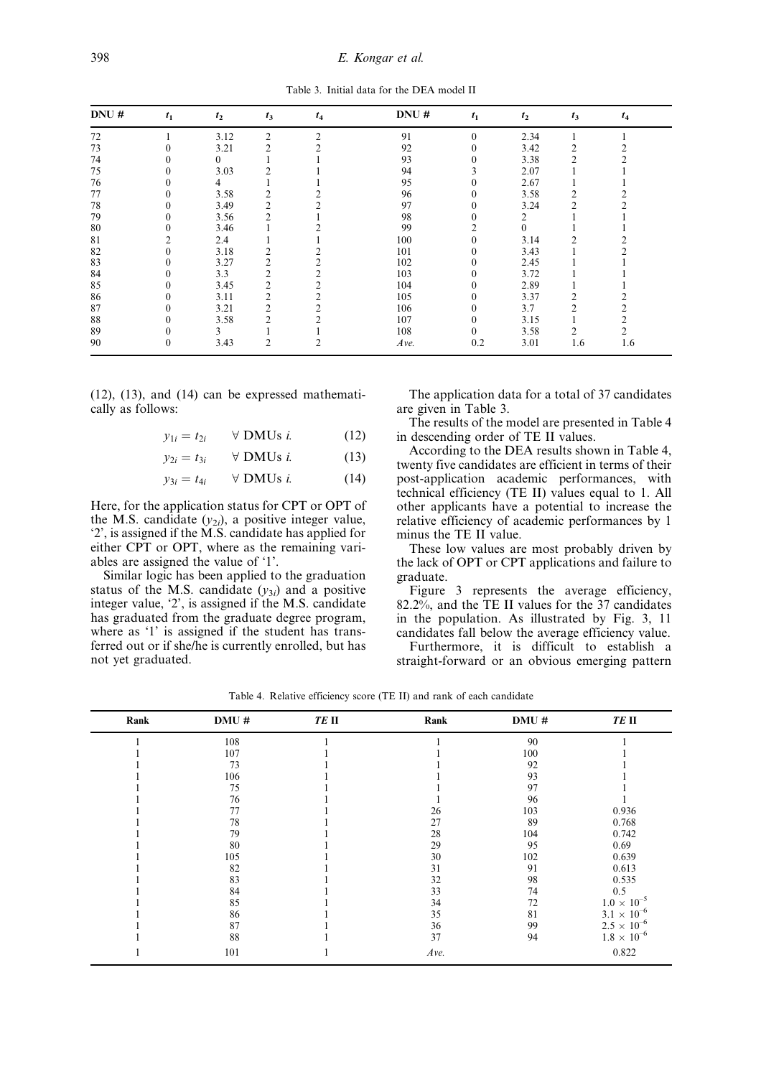Table 3. Initial data for the DEA model II

| DNU# | $t_1$            | $t_2$    | $t_3$          | $t_4$         | DNU# | $t_1$          | $t_2$    | $t_3$          | $t_4$ |
|------|------------------|----------|----------------|---------------|------|----------------|----------|----------------|-------|
| 72   |                  | 3.12     | 2              | $\mathcal{D}$ | 91   | $\theta$       | 2.34     |                |       |
| 73   | 0                | 3.21     | $\overline{c}$ |               | 92   | 0              | 3.42     | 2              |       |
| 74   | 0                | $^{(1)}$ |                |               | 93   | $\theta$       | 3.38     | $\overline{c}$ |       |
| 75   | $\mathbf{0}$     | 3.03     | 2              |               | 94   |                | 2.07     |                |       |
| 76   | $\mathbf{0}$     | 4        |                |               | 95   | 0              | 2.67     |                |       |
| 77   | $\mathbf{0}$     | 3.58     | 2              |               | 96   | $\theta$       | 3.58     | $\overline{c}$ |       |
| 78   | $\Omega$         | 3.49     | 2              |               | 97   | 0              | 3.24     | 2              |       |
| 79   | 0                | 3.56     | $\mathfrak{D}$ |               | 98   |                | 2        |                |       |
| 80   | $\boldsymbol{0}$ | 3.46     |                |               | 99   | $\overline{2}$ | $\Omega$ |                |       |
| 81   | 2                | 2.4      |                |               | 100  | 0              | 3.14     | $\mathfrak{D}$ |       |
| 82   | $\mathbf{0}$     | 3.18     | 2              |               | 101  | $\theta$       | 3.43     |                |       |
| 83   | $\mathbf{0}$     | 3.27     | 2              |               | 102  | 0              | 2.45     |                |       |
| 84   | $\mathbf{0}$     | 3.3      | 2              |               | 103  | $\theta$       | 3.72     |                |       |
| 85   | $\mathbf{0}$     | 3.45     | 2              |               | 104  | $\theta$       | 2.89     |                |       |
| 86   | $\mathbf{0}$     | 3.11     | 2              |               | 105  | 0              | 3.37     | 2              |       |
| 87   | $\mathbf{0}$     | 3.21     | $\overline{2}$ |               | 106  | $\theta$       | 3.7      | $\mathfrak{D}$ |       |
| 88   | $\mathbf{0}$     | 3.58     | 2              |               | 107  | $\theta$       | 3.15     |                |       |
| 89   | 0                | 3        |                |               | 108  | $\theta$       | 3.58     | 2              |       |
| 90   | $\mathbf{0}$     | 3.43     | 2              |               | Ave. | 0.2            | 3.01     | 1.6            | 1.6   |

(12), (13), and (14) can be expressed mathematically as follows:

$$
y_{1i} = t_{2i} \qquad \forall \text{ DMUs } i. \tag{12}
$$

$$
y_{2i} = t_{3i} \qquad \forall \text{ DMUs } i. \tag{13}
$$

$$
y_{3i} = t_{4i} \qquad \forall \text{ DMUs } i. \tag{14}
$$

Here, for the application status for CPT or OPT of the M.S. candidate  $(y_{2i})$ , a positive integer value, `2', is assigned if the M.S. candidate has applied for either CPT or OPT, where as the remaining variables are assigned the value of `1'.

Similar logic has been applied to the graduation status of the M.S. candidate  $(y_{3i})$  and a positive integer value, `2', is assigned if the M.S. candidate has graduated from the graduate degree program, where as '1' is assigned if the student has transferred out or if she/he is currently enrolled, but has not yet graduated.

The application data for a total of 37 candidates are given in Table 3.

The results of the model are presented in Table 4 in descending order of TE II values.

According to the DEA results shown in Table 4, twenty five candidates are efficient in terms of their post-application academic performances, with technical efficiency (TE II) values equal to 1. All other applicants have a potential to increase the relative efficiency of academic performances by 1 minus the TE II value.

These low values are most probably driven by the lack of OPT or CPT applications and failure to graduate.

Figure 3 represents the average efficiency, 82.2%, and the TE II values for the 37 candidates in the population. As illustrated by Fig. 3, 11 candidates fall below the average efficiency value.

Furthermore, it is difficult to establish a straight-forward or an obvious emerging pattern

Table 4. Relative efficiency score (TE II) and rank of each candidate

| Rank | DMU# | TE II | Rank | DMU# | TE II                  |
|------|------|-------|------|------|------------------------|
|      | 108  |       |      | 90   |                        |
|      | 107  |       |      | 100  |                        |
|      | 73   |       |      | 92   |                        |
|      | 106  |       |      | 93   |                        |
|      | 75   |       |      | 97   |                        |
|      | 76   |       |      | 96   |                        |
|      | 77   |       | 26   | 103  | 0.936                  |
|      | 78   |       | 27   | 89   | 0.768                  |
|      | 79   |       | 28   | 104  | 0.742                  |
|      | 80   |       | 29   | 95   | 0.69                   |
|      | 105  |       | 30   | 102  | 0.639                  |
|      | 82   |       | 31   | 91   | 0.613                  |
|      | 83   |       | 32   | 98   | 0.535                  |
|      | 84   |       | 33   | 74   | 0.5                    |
|      | 85   |       | 34   | 72   | $1.0 \times 10^{-5}$   |
|      | 86   |       | 35   | 81   | $3.1 \times 10^{-6}$   |
|      | 87   |       | 36   | 99   | $2.5 \times 10^{-6}$   |
|      | 88   |       | 37   | 94   | $1.8\,\times\,10^{-6}$ |
|      | 101  |       | Ave. |      | 0.822                  |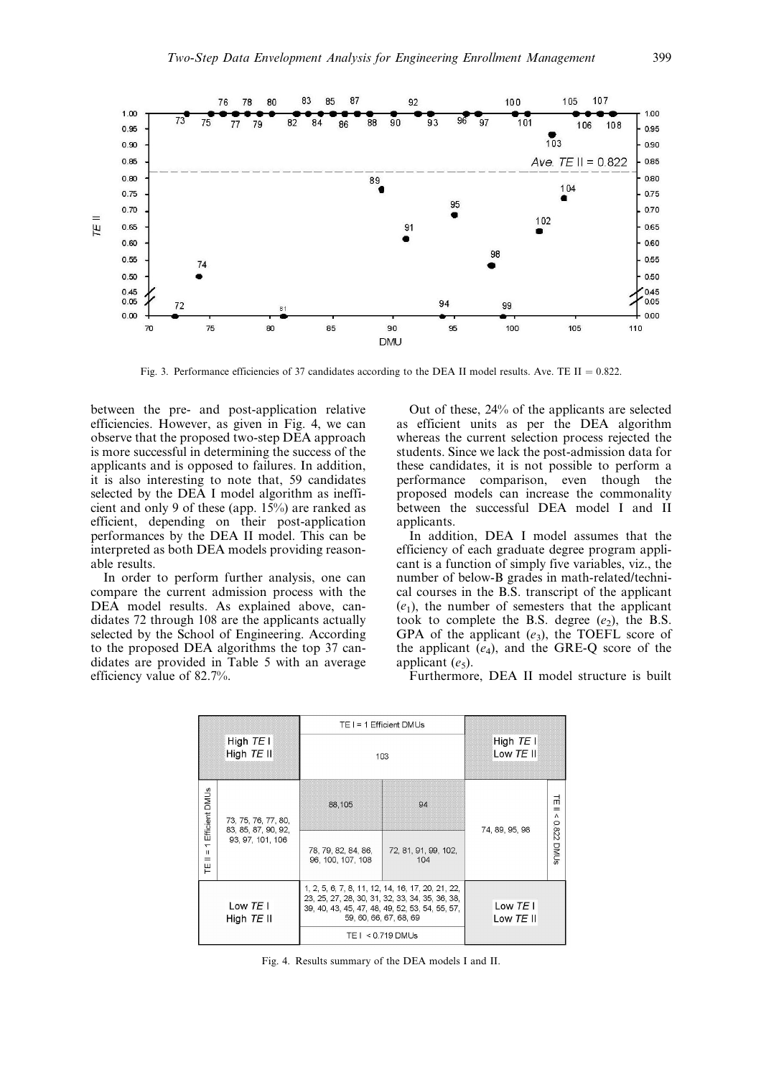

Fig. 3. Performance efficiencies of 37 candidates according to the DEA II model results. Ave. TE II =  $0.822$ .

between the pre- and post-application relative efficiencies. However, as given in Fig. 4, we can observe that the proposed two-step DEA approach is more successful in determining the success of the applicants and is opposed to failures. In addition, it is also interesting to note that, 59 candidates selected by the DEA I model algorithm as inefficient and only 9 of these (app. 15%) are ranked as efficient, depending on their post-application performances by the DEA II model. This can be interpreted as both DEA models providing reasonable results.

In order to perform further analysis, one can compare the current admission process with the DEA model results. As explained above, candidates 72 through 108 are the applicants actually selected by the School of Engineering. According to the proposed DEA algorithms the top 37 candidates are provided in Table 5 with an average efficiency value of 82.7%.

Out of these, 24% of the applicants are selected as efficient units as per the DEA algorithm whereas the current selection process rejected the students. Since we lack the post-admission data for these candidates, it is not possible to perform a performance comparison, even though the proposed models can increase the commonality between the successful DEA model I and II applicants.

In addition, DEA I model assumes that the efficiency of each graduate degree program applicant is a function of simply five variables, viz., the number of below-B grades in math-related/technical courses in the B.S. transcript of the applicant  $(e_1)$ , the number of semesters that the applicant took to complete the B.S. degree  $(e_2)$ , the B.S. GPA of the applicant  $(e_3)$ , the TOEFL score of the applicant  $(e_4)$ , and the GRE-Q score of the applicant  $(e_5)$ .

Furthermore, DEA II model structure is built

|                                                      |                                            |                                          | $TE = 1$ Efficient DMUs                                                                                                                                                                                |                        |                               |  |
|------------------------------------------------------|--------------------------------------------|------------------------------------------|--------------------------------------------------------------------------------------------------------------------------------------------------------------------------------------------------------|------------------------|-------------------------------|--|
|                                                      | High $TE$ I<br>High TE II                  | 103                                      | High $TE$ I<br>Low TE II                                                                                                                                                                               |                        |                               |  |
| Efficient DMUs                                       | 73, 75, 76, 77, 80,<br>83, 85, 87, 90, 92, | 88,105                                   | 94                                                                                                                                                                                                     | 74, 89, 95, 98         | 뉴<br>$=$<br>$\Lambda$<br>28.0 |  |
| $\overline{\phantom{0}}$<br>$\mathbf{H}$<br>$=$<br>끝 | 93, 97, 101, 106                           | 78, 79, 82, 84, 86,<br>96, 100, 107, 108 | 72, 81, 91, 99, 102,<br>104                                                                                                                                                                            |                        | DMUs                          |  |
|                                                      | Low $TE$ I<br>High $TE$ II                 |                                          | 1, 2, 5, 6, 7, 8, 11, 12, 14, 16, 17, 20, 21, 22,<br>23, 25, 27, 28, 30, 31, 32, 33, 34, 35, 36, 38,<br>39, 40, 43, 45, 47, 48, 49, 52, 53, 54, 55, 57,<br>59, 60, 66, 67, 68, 69<br>TE I < 0.719 DMUs | Low $TEI$<br>Low TE II |                               |  |

Fig. 4. Results summary of the DEA models I and II.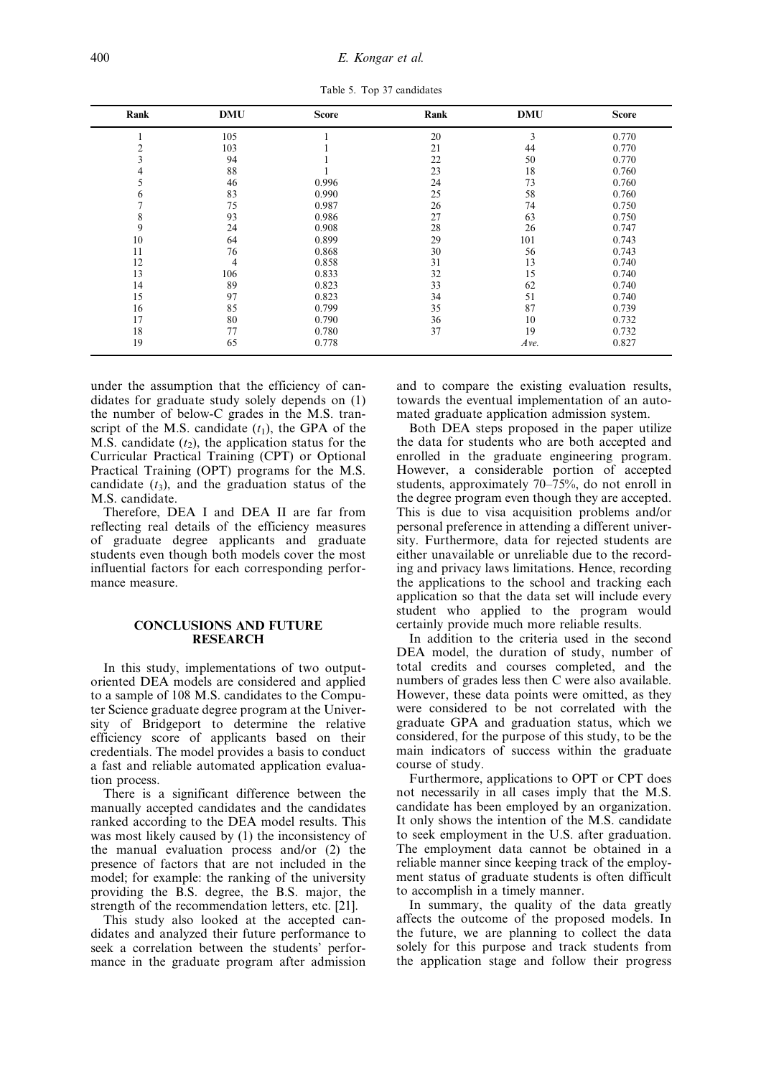Table 5. Top 37 candidates

| Rank | <b>DMU</b> | <b>Score</b> | Rank | <b>DMU</b> | <b>Score</b> |
|------|------------|--------------|------|------------|--------------|
|      | 105        |              | 20   | 3          | 0.770        |
|      | 103        |              | 21   | 44         | 0.770        |
| 3    | 94         |              | 22   | 50         | 0.770        |
| 4    | 88         |              | 23   | 18         | 0.760        |
| 5    | 46         | 0.996        | 24   | 73         | 0.760        |
| 6    | 83         | 0.990        | 25   | 58         | 0.760        |
|      | 75         | 0.987        | 26   | 74         | 0.750        |
| 8    | 93         | 0.986        | 27   | 63         | 0.750        |
| 9    | 24         | 0.908        | 28   | 26         | 0.747        |
| 10   | 64         | 0.899        | 29   | 101        | 0.743        |
| 11   | 76         | 0.868        | 30   | 56         | 0.743        |
| 12   | 4          | 0.858        | 31   | 13         | 0.740        |
| 13   | 106        | 0.833        | 32   | 15         | 0.740        |
| 14   | 89         | 0.823        | 33   | 62         | 0.740        |
| 15   | 97         | 0.823        | 34   | 51         | 0.740        |
| 16   | 85         | 0.799        | 35   | 87         | 0.739        |
| 17   | 80         | 0.790        | 36   | 10         | 0.732        |
| 18   | 77         | 0.780        | 37   | 19         | 0.732        |
| 19   | 65         | 0.778        |      | Ave.       | 0.827        |

under the assumption that the efficiency of candidates for graduate study solely depends on (1) the number of below-C grades in the M.S. transcript of the M.S. candidate  $(t_1)$ , the GPA of the M.S. candidate  $(t_2)$ , the application status for the Curricular Practical Training (CPT) or Optional Practical Training (OPT) programs for the M.S. candidate  $(t_3)$ , and the graduation status of the M.S. candidate.

Therefore, DEA I and DEA II are far from reflecting real details of the efficiency measures of graduate degree applicants and graduate students even though both models cover the most influential factors for each corresponding performance measure.

# CONCLUSIONS AND FUTURE RESEARCH

In this study, implementations of two outputoriented DEA models are considered and applied to a sample of 108 M.S. candidates to the Computer Science graduate degree program at the University of Bridgeport to determine the relative efficiency score of applicants based on their credentials. The model provides a basis to conduct a fast and reliable automated application evaluation process.

There is a significant difference between the manually accepted candidates and the candidates ranked according to the DEA model results. This was most likely caused by (1) the inconsistency of the manual evaluation process and/or (2) the presence of factors that are not included in the model; for example: the ranking of the university providing the B.S. degree, the B.S. major, the strength of the recommendation letters, etc. [21].

This study also looked at the accepted candidates and analyzed their future performance to seek a correlation between the students' performance in the graduate program after admission and to compare the existing evaluation results, towards the eventual implementation of an automated graduate application admission system.

Both DEA steps proposed in the paper utilize the data for students who are both accepted and enrolled in the graduate engineering program. However, a considerable portion of accepted students, approximately  $70-75%$ , do not enroll in the degree program even though they are accepted. This is due to visa acquisition problems and/or personal preference in attending a different university. Furthermore, data for rejected students are either unavailable or unreliable due to the recording and privacy laws limitations. Hence, recording the applications to the school and tracking each application so that the data set will include every student who applied to the program would certainly provide much more reliable results.

In addition to the criteria used in the second DEA model, the duration of study, number of total credits and courses completed, and the numbers of grades less then C were also available. However, these data points were omitted, as they were considered to be not correlated with the graduate GPA and graduation status, which we considered, for the purpose of this study, to be the main indicators of success within the graduate course of study.

Furthermore, applications to OPT or CPT does not necessarily in all cases imply that the M.S. candidate has been employed by an organization. It only shows the intention of the M.S. candidate to seek employment in the U.S. after graduation. The employment data cannot be obtained in a reliable manner since keeping track of the employment status of graduate students is often difficult to accomplish in a timely manner.

In summary, the quality of the data greatly affects the outcome of the proposed models. In the future, we are planning to collect the data solely for this purpose and track students from the application stage and follow their progress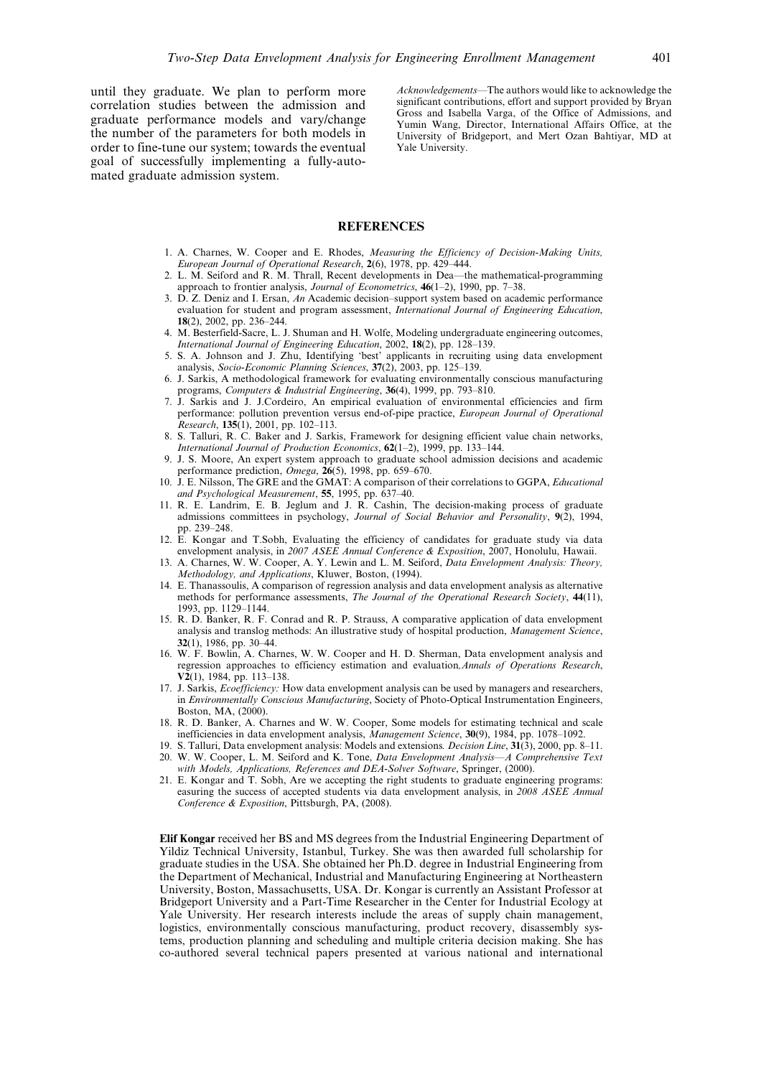until they graduate. We plan to perform more correlation studies between the admission and graduate performance models and vary/change the number of the parameters for both models in order to fine-tune our system; towards the eventual goal of successfully implementing a fully-automated graduate admission system.

Acknowledgements—The authors would like to acknowledge the significant contributions, effort and support provided by Bryan Gross and Isabella Varga, of the Office of Admissions, and Yumin Wang, Director, International Affairs Office, at the University of Bridgeport, and Mert Ozan Bahtiyar, MD at Yale University.

## REFERENCES

- 1. A. Charnes, W. Cooper and E. Rhodes, Measuring the Efficiency of Decision-Making Units, European Journal of Operational Research, 2(6), 1978, pp. 429-444.
- 2. L. M. Seiford and R. M. Thrall, Recent developments in Dea—the mathematical-programming approach to frontier analysis, Journal of Econometrics,  $46(1-2)$ , 1990, pp. 7-38.
- 3.  $\overline{D}$ . Z. Deniz and I. Ersan, An Academic decision-support system based on academic performance evaluation for student and program assessment, International Journal of Engineering Education, 18(2), 2002, pp. 236-244.
- 4. M. Besterfield-Sacre, L. J. Shuman and H. Wolfe, Modeling undergraduate engineering outcomes, International Journal of Engineering Education, 2002,  $18(2)$ , pp. 128-139.
- 5. S. A. Johnson and J. Zhu, Identifying `best' applicants in recruiting using data envelopment analysis, Socio-Economic Planning Sciences, 37(2), 2003, pp. 125-139.
- 6. J. Sarkis, A methodological framework for evaluating environmentally conscious manufacturing programs, Computers & Industrial Engineering, 36(4), 1999, pp. 793-810.
- 7. J. Sarkis and J. J.Cordeiro, An empirical evaluation of environmental efficiencies and firm performance: pollution prevention versus end-of-pipe practice, European Journal of Operational Research, 135(1), 2001, pp. 102-113.
- 8. S. Talluri, R. C. Baker and J. Sarkis, Framework for designing efficient value chain networks, International Journal of Production Economics,  $62(1-2)$ , 1999, pp. 133-144.
- 9. J. S. Moore, An expert system approach to graduate school admission decisions and academic performance prediction,  $Omega$ ,  $\overline{26(5)}$ , 1998, pp. 659–670.
- 10. J. E. Nilsson, The GRE and the GMAT: A comparison of their correlations to GGPA, Educational and Psychological Measurement, 55, 1995, pp. 637-40.
- 11. R. E. Landrim, E. B. Jeglum and J. R. Cashin, The decision-making process of graduate admissions committees in psychology, Journal of Social Behavior and Personality, 9(2), 1994, pp. 239-248.
- 12. E. Kongar and T.Sobh, Evaluating the efficiency of candidates for graduate study via data envelopment analysis, in 2007 ASEE Annual Conference & Exposition, 2007, Honolulu, Hawaii.
- 13. A. Charnes, W. W. Cooper, A. Y. Lewin and L. M. Seiford, Data Envelopment Analysis: Theory, Methodology, and Applications, Kluwer, Boston, (1994).
- 14. E. Thanassoulis, A comparison of regression analysis and data envelopment analysis as alternative methods for performance assessments, The Journal of the Operational Research Society, 44(11), 1993, pp. 1129-1144.
- 15. R. D. Banker, R. F. Conrad and R. P. Strauss, A comparative application of data envelopment analysis and translog methods: An illustrative study of hospital production, Management Science,  $32(1)$ , 1986, pp. 30 $-44$ .
- 16. W. F. Bowlin, A. Charnes, W. W. Cooper and H. D. Sherman, Data envelopment analysis and regression approaches to efficiency estimation and evaluation, Annals of Operations Research,  $V2(1)$ , 1984, pp. 113-138.
- 17. J. Sarkis, *Ecoefficiency*: How data envelopment analysis can be used by managers and researchers, in Environmentally Conscious Manufacturing, Society of Photo-Optical Instrumentation Engineers, Boston, MA, (2000).
- 18. R. D. Banker, A. Charnes and W. W. Cooper, Some models for estimating technical and scale inefficiencies in data envelopment analysis, Management Science, 30(9), 1984, pp. 1078-1092.
- 19. S. Talluri, Data envelopment analysis: Models and extensions. *Decision Line*, 31(3), 2000, pp. 8–11. 20. W. W. Cooper, L. M. Seiford and K. Tone, *Data Envelopment Analysis—A Comprehensive Text* with Models, Applications, References and DEA-Solver Software, Springer, (2000).
- 21. E. Kongar and T. Sobh, Are we accepting the right students to graduate engineering programs: easuring the success of accepted students via data envelopment analysis, in 2008 ASEE Annual Conference & Exposition, Pittsburgh, PA, (2008).

Elif Kongar received her BS and MS degrees from the Industrial Engineering Department of Yildiz Technical University, Istanbul, Turkey. She was then awarded full scholarship for graduate studies in the USA. She obtained her Ph.D. degree in Industrial Engineering from the Department of Mechanical, Industrial and Manufacturing Engineering at Northeastern University, Boston, Massachusetts, USA. Dr. Kongar is currently an Assistant Professor at Bridgeport University and a Part-Time Researcher in the Center for Industrial Ecology at Yale University. Her research interests include the areas of supply chain management, logistics, environmentally conscious manufacturing, product recovery, disassembly systems, production planning and scheduling and multiple criteria decision making. She has co-authored several technical papers presented at various national and international